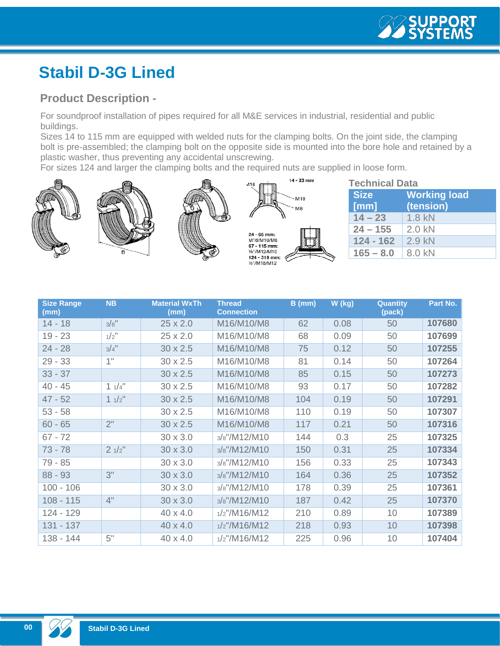## **Stabil D-3G Lined**

## **Product Description -**

For soundproof installation of pipes required for all M&E services in industrial, residential and public buildings.

Sizes 14 to 115 mm are equipped with welded nuts for the clamping bolts. On the joint side, the clamping bolt is pre-assembled; the clamping bolt on the opposite side is mounted into the bore hole and retained by a plastic washer, thus preventing any accidental unscrewing.

For sizes 124 and larger the clamping bolts and the required nuts are supplied in loose form.



| <b>Technical Data</b> |                     |  |  |  |  |
|-----------------------|---------------------|--|--|--|--|
| <b>Size</b>           | <b>Working load</b> |  |  |  |  |
| [mm]                  | (tension)           |  |  |  |  |
| $14 - 23$             | 1.8 kN              |  |  |  |  |
| $24 - 155$            | $2.0$ kN            |  |  |  |  |
| $124 - 162$           | $2.9$ kN            |  |  |  |  |
| $165 - 8.0$           | 8.0 kN              |  |  |  |  |

| <b>Size Range</b><br>(mm) | <b>NB</b> | <b>Material WxTh</b><br>(mm) | <b>Thread</b><br><b>Connection</b> | $B$ (mm) | W (kg) | <b>Quantity</b><br>(pack) | Part No. |
|---------------------------|-----------|------------------------------|------------------------------------|----------|--------|---------------------------|----------|
| $14 - 18$                 | 3/8"      | $25 \times 2.0$              | M16/M10/M8                         | 62       | 0.08   | 50                        | 107680   |
| $19 - 23$                 | $1/2$ "   | 25 x 2.0                     | M16/M10/M8                         | 68       | 0.09   | 50                        | 107699   |
| $24 - 28$                 | $3/4$ "   | $30 \times 2.5$              | M16/M10/M8                         | 75       | 0.12   | 50                        | 107255   |
| $29 - 33$                 | 1"        | $30 \times 2.5$              | M16/M10/M8                         | 81       | 0.14   | 50                        | 107264   |
| $33 - 37$                 |           | $30 \times 2.5$              | M16/M10/M8                         | 85       | 0.15   | 50                        | 107273   |
| $40 - 45$                 | 11/4"     | $30 \times 2.5$              | M16/M10/M8                         | 93       | 0.17   | 50                        | 107282   |
| $47 - 52$                 | 11/2"     | $30 \times 2.5$              | M16/M10/M8                         | 104      | 0.19   | 50                        | 107291   |
| $53 - 58$                 |           | $30 \times 2.5$              | M16/M10/M8                         | 110      | 0.19   | 50                        | 107307   |
| $60 - 65$                 | 2"        | $30 \times 2.5$              | M16/M10/M8                         | 117      | 0.21   | 50                        | 107316   |
| $67 - 72$                 |           | $30 \times 3.0$              | 3/s''/M12/M10                      | 144      | 0.3    | 25                        | 107325   |
| $73 - 78$                 | 21/2"     | $30 \times 3.0$              | 3/s''/M12/M10                      | 150      | 0.31   | 25                        | 107334   |
| 79 - 85                   |           | $30 \times 3.0$              | 3/s''/M12/M10                      | 156      | 0.33   | 25                        | 107343   |
| $88 - 93$                 | 3"        | $30 \times 3.0$              | 3/s''/M12/M10                      | 164      | 0.36   | 25                        | 107352   |
| $100 - 106$               |           | $30 \times 3.0$              | 3/8"/M12/M10                       | 178      | 0.39   | 25                        | 107361   |
| $108 - 115$               | 4"        | $30 \times 3.0$              | 3/8"/M12/M10                       | 187      | 0.42   | 25                        | 107370   |
| 124 - 129                 |           | 40 x 4.0                     | $1/2$ "/M16/M12                    | 210      | 0.89   | 10                        | 107389   |
| 131 - 137                 |           | 40 x 4.0                     | $1/2$ "/M16/M12                    | 218      | 0.93   | 10                        | 107398   |
| 138 - 144                 | 5"        | 40 x 4.0                     | $1/2$ "/M16/M12                    | 225      | 0.96   | 10                        | 107404   |

**00**